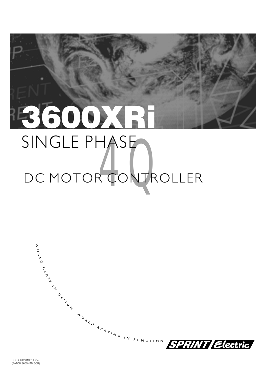### BSOOXR SINGLE PHASE DC MOTOR CONTROLLER

ENDROY

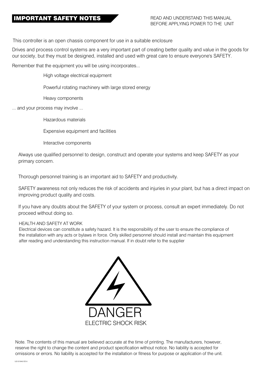### **IMPORTANT SAFETY NOTES**

This controller is an open chassis component for use in a suitable enclosure

Drives and process control systems are a very important part of creating better quality and value in the goods for our society, but they must be designed, installed and used with great care to ensure everyone's SAFETY.

Remember that the equipment you will be using incorporates...

High voltage electrical equipment

Powerful rotating machinery with large stored energy

Heavy components

... and your process may involve ...

Hazardous materials

Expensive equipment and facilities

Interactive components

Always use qualified personnel to design, construct and operate your systems and keep SAFETY as your primary concern.

Thorough personnel training is an important aid to SAFETY and productivity.

SAFETY awareness not only reduces the risk of accidents and injuries in your plant, but has a direct impact on improving product quality and costs.

If you have any doubts about the SAFETY of your system or process, consult an expert immediately. Do not proceed without doing so.

### HEALTH AND SAFETY AT WORK

Electrical devices can constitute a safety hazard. It is the responsibility of the user to ensure the compliance of the installation with any acts or bylaws in force. Only skilled personnel should install and maintain this equipment after reading and understanding this instruction manual. If in doubt refer to the supplier



Note. The contents of this manual are believed accurate at the time of printing. The manufacturers, however, reserve the right to change the content and product specification without notice. No liability is accepted for omissions or errors. No liability is accepted for the installation or fitness for purpose or application of the unit.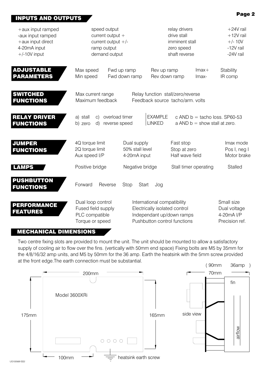### **INPUTS AND OUTPUTS**

| $+$ aux input ramped<br>-aux input ramped<br>$+$ aux input direct<br>4-20mA input<br>$+/-10V$ input | speed output<br>current output +<br>current output $+/-$<br>ramp output<br>demand output |                                                | relay drivers<br>drive stall<br>imminent stall<br>zero speed<br>shaft reverse                                             | $+24V$ rail<br>$+12V$ rail<br>$+/- 10V$<br>-12V rail<br>-24V rail |                                                            |
|-----------------------------------------------------------------------------------------------------|------------------------------------------------------------------------------------------|------------------------------------------------|---------------------------------------------------------------------------------------------------------------------------|-------------------------------------------------------------------|------------------------------------------------------------|
| <b>ADJUSTABLE</b><br><b>PARAMETERS</b>                                                              | Max speed<br>Min speed                                                                   | Fwd up ramp<br>Fwd down ramp                   | Rev up ramp<br>Rev down ramp                                                                                              | $lmax+$<br>Imax-                                                  | Stability<br>IR comp                                       |
| <b>SWITCHED</b><br><b>FUNCTIONS</b>                                                                 | Max current range<br>Maximum feedback                                                    |                                                | Relay function stall/zero/reverse<br>Feedback source tacho/arm. volts                                                     |                                                                   |                                                            |
| <b>RELAY DRIVER</b><br><b>FUNCTIONS</b>                                                             | a) stall<br>C)<br>(d)<br>b) zero                                                         | overload timer<br>reverse speed                | <b>EXAMPLE</b><br><b>LINKED</b>                                                                                           | a AND $b =$ show stall at zero.                                   | c AND $b =$ tacho loss. SP60-53                            |
| <b>JUMPER</b><br><b>FUNCTIONS</b>                                                                   | 4Q torque limit<br>2Q torque limit<br>Aux speed I/P                                      | Dual supply<br>50% stall level<br>4-20mA input | Fast stop<br>Stop at zero<br>Half wave field                                                                              |                                                                   | Imax mode<br>Pos I, neg I<br>Motor brake                   |
| <b>LAMPS</b>                                                                                        | Positive bridge                                                                          | Negative bridge                                |                                                                                                                           | Stall timer operating                                             | Stalled                                                    |
| PUSHBUTTON<br><b>FUNCTIONS</b>                                                                      | Forward<br>Reverse                                                                       | Stop<br>Start                                  | Jog                                                                                                                       |                                                                   |                                                            |
| <b>PERFORMANCE</b><br><b>FEATURES</b>                                                               | Dual loop control<br>Fused field supply<br>PLC compatible<br>Torque or speed             |                                                | International compatibility<br>Electrically isolated control<br>Independant up/down ramps<br>Pushbutton control functions |                                                                   | Small size<br>Dual voltage<br>4-20mA I/P<br>Precision ref. |

### **MECHANICAL DIMENSIONS**

Two centre fixing slots are provided to mount the unit. The unit should be mounted to allow a satisfactory supply of cooling air to flow over the fins. (vertically with 50mm end space) Fixing bolts are M5 by 35mm for the 4/8/16/32 amp units, and M5 by 50mm for the 36 amp. Earth the heatsink with the 5mm screw provided at the front edge. The earth connection must be substantial.



### Page 2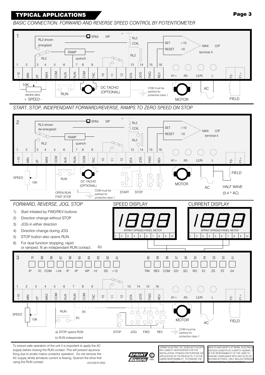### BASIC CONNECTION. FORWARD AND REVERSE SPEED CONTROL BY POTENTIOMETER



START, STOP, INDEPENDANT FORWARD/REVERSE, RAMPS TO ZERO SPEED ON STOP



To ensure safe operation of the unit it is important to apply the AC supply before closing the RUN contact. This will prevent spurious firing due to erratic mains contactor operation. Do not remove the AC supply whilst armature current is flowing. Quench the drive first using the RUN contact. UG100570 ISS2



SPRINT ELECTRIC LTD. DOES NOT ACCE ANY LIABILITY WHATSOEVER FOR THE ANY LABILITY WITH INCOMENDATION INSTALLATION, FITNESS FOR PURPOSE OF<br>APPLICATION OF ITS PRODUCTS. IT IS THE<br>USERS RESPONSIBILITY TO ENSURE THE

**EALTH AND SAFETY AT WORK. ELECTRIC** DEVICES CONSTITUTE A SAFETY HAZARD. **DEVICES CONSTRUCTE A SAFETT FAZAND.<br>IS THE RESPONSIBILITY OF THE USER TO<br>ENSURE COMPLIANCE WITH ANY ACTS OR BYLAWS IN FORCE. ONLY SKILLED PERSON**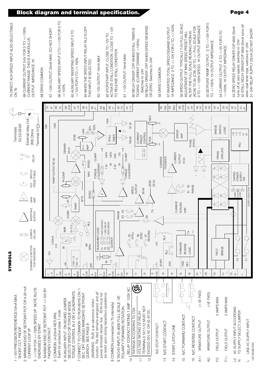

### **Block diagram and terminal specification.**

### Page 4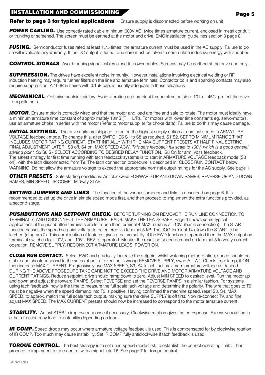### **INSTALLATION AND COMMISSIONING**

**Refer to page 3 for typical applications** Ensure supply is disconnected before working on unit

**POWER CABLING.** Use correctly rated cable minimum 600V AC, twice times armature current, enclosed in metal conduit or trunking or screened. The screen must be earthed at the motor and drive. EMC installation quidelines section 3 page 8.

**FUSING.** Semiconductor fuses rated at least 1.75 times the armature current must be used in the AC supply. Failure to do so will invalidate any warranty. If the DC output is fused, due care must be taken to commutate inductive energy with snubber.

**CONTROL SIGNALS**. Avoid running signal cables close to power cables. Screens may be earthed at the drive end only.

**SUPPRESSION.** The drives have excellent noise immunity. However installations involving electrical welding or RF induction heating may require further filters on the line and armature terminals. Contactor coils and sparking contacts may also require suppression. A 100R in series with 0.1uF cap. is usually adequate in these situations

**MECHANICAL**, Optimise heatsink airflow. Avoid vibration and ambient temperature outside -10 to +45C, protect the drive from pollutants.

**MOTOR**. Ensure motor is correctly wired and that the motor and load are free and safe to rotate. The motor must ideally have a minimum armature time constant of approximately 10mS ( $T = L/R$ ). For motors with lower time constants eq. servo-motors, use an armature choke in series with the motor (Refer to motor supplier for choke data). Failure to do this may cause damage.

**INITIAL SETTINGS.** The drive units are shipped to run on the highest supply option at nominal speed in ARMATURE VOLTAGE feedback mode. To change this, alter SWITCHES S1 to S8 as required. S1 S2, SET TO MINIMUM RANGE THAT INCLUDES MOTOR RATING CURRENT. START INITIALLY WITH THE MAX CURRENT PRESETS AT HALF FINAL SETTING. FINAL ADJUSTMENT LATER. S3 off, S4 on. MAX SPEED ACW. This sets feedback full scale to 100V, which is a good general starting point. S5 S6 S7 SELECT ACCORDING TO DESIRED RELAY FUNCTION, S8 On for arm. volts feedback. The safest strategy for first time running with tach feedback systems is to start in ARMATURE VOLTAGE feedback mode (S8 on), with the tach disconnected from T9. The tach connection procedure is described in CLOSE RUN CONTACT below. WARNING. Do not allow the armature voltage to exceed the appropriate nominal output ratings for the AC supply. See page 1.

**OTHER PRESETS**. Safe starting conditions. Anticlockwise FORWARD UP AND DOWN RAMPS, REVERSE UP AND DOWN RAMPS, MIN SPEED, IR COMP. Midway STAB

**SETTING JUMPERS AND LINKS**. The function of the various iumpers and links is described on page 6. It is recommended to set up the drive in simple speed mode first, and then proceed to implement the extra functions provided, as a second stage.

**PUSHBUTTONS AND SETPOINT CHECK.** BEFORE TURNING ON REMOVE THE RUN LINE CONNECTION TO TERMINAL 7, AND DISCONNECT THE ARMATURE LEADS, MAKE THE LEADS SAFE, Page 3 shows some typical applications, if the pushbutton terminals are left open then terminal 4 MAX remains at -10V. (basic connection). The START function causes the speed setpoint voltage to be entered via terminal 3 I/P. The JOG terminal 14 allows the START to be latched (diagram 2). This combination of features gives great versatility. if the FWD function is operated then the MAX output on terminal 4 switches to +10V, and -10V if REV, is operated. Monitor the resulting speed demand on terminal 3 to verify correct operation. REMOVE SUPPLY. RECONNECT ARMATURE LEADS. POWER ON.

**CLOSE RUN CONTACT.** Select FWD and gradually increase the setpoint whilst watching motor rotation, speed should be stable and should respond to the setpoint pot. (If direction is wrong REMOVE SUPPLY, swap  $A + A$ -). Check timer lamp, if ON then increase MAX CURRENT. Progressively use MAX SPEED, S3, S4 to set final maximum armature voltage as desired. DURING THE ABOVE PROCEDURE TAKE CARE NOT TO EXCEED THE DRIVE AND MOTOR ARMATURE VOLTAGE AND CURRENT RATINGS. Reduce setpoint, drive should ramp down to zero. Adjust MIN SPEED to desired level. Run the motor up and down and adjust the forward RAMPS. Select REVERSE and set the REVERSE RAMPS in a similar fashion. For systems using tach feedback, now is the time to measure the full scale tach voltage and determine the polarity. The wire that goes to T9 must be negative when the speed demand into T3 is positive. Having confirmed the machine speed, reset S3, S4, MAX SPEED, to approx, match the full scale tach output, making sure the drive SUPPLY is off first. Now re-connect T9, and fine adjust MAX SPEED. The MAX CURRENT presets should now be increased to correspond to the motor armature current.

**STABILITY.** Adjust STAB to improve response if necessary. Clockwise rotation gives faster response. Excessive rotation in either direction may lead to instability depending on load.

**IR COMP.** Speed droop may occur where armature voltage feedback is used. This is compensated for by clockwise rotation of IR COMP. Too much may cause instability. Set IR COMP fully anticlockwise if tach feedback is used.

TORQUE CONTROL. The best strategy is to set up in speed mode first, to establish the correct operating limits. Then proceed to implement torque control with a signal into T6. See page 7 for torque control.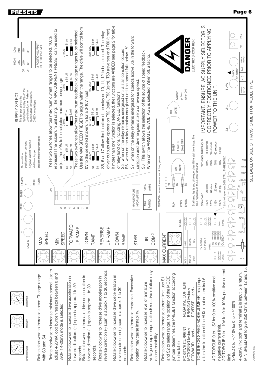| NOT<br>240<br>110<br>$\boldsymbol{\mathcal{S}}$<br>H©H<br>415<br>240<br>$\pmb{\mathbb{S}}$<br>$\epsilon$<br>$\mathfrak{S}$<br>appropriate supply tap on the<br>control transformer. Refer to<br>specification for tolerances.<br>SUPPLY SELECT<br>This jumper selects the<br>CHECK model type<br>negative current demand<br>positive current demand<br>stall timer tripped<br>On condition<br><b>LAMPS</b><br>STALL<br>$\ddot{\phantom{1}}$<br><b>IMER</b> | 2 POSITION SUPPLY<br>SELECTION JUMPER<br>stall timer ticking and tripped<br>TIMER | represents the maximum unit rating. The MAX CURRENT PRESET can be used to<br>These two switches allow four maximum current ranges to be selected. 100%<br>0-100%<br>adjust from 0% to the selected maximum percentage<br>$\frac{51}{2}$ on<br>š | Use the MAX SPEED PRESET to adjust within the range. The drive will control from<br>These two switches allow four maximum feedback voltage ranges to be selected<br>S <sub>2</sub> on<br>S1 on<br>i<br>$\frac{82}{3}$ on<br>$\overline{1}$ S1 off<br>$\Box$ S2 off<br>$\Box$ S2 off<br>TS1 off<br>5<br>S | 200-400V<br>S3 on<br>$\frac{1}{100-200V}$ S3 off<br>OV to the selected maximum for a 0-10V input<br>$\frac{2550V}{2550V}$ $\frac{2550V}{2550V}$ $\frac{2550V}{250V}$ $\frac{50-100V}{250V}$ $\frac{25-100V}{250V}$ $\frac{25-100V}{250V}$<br>■ S3 on<br>$1 S3$ off<br>S3 | driver outputs also appear on T52 (stall), T53 (zero), T59 (reverse) and T60 (timer).<br>S5, 6 and 7 allow the function of the relay on 10, 11, 12 to be selected. The relay<br>™ <sub>S4</sub> on<br>■ S4 on<br>$\Box$ S4 off<br>$\overline{\Box}$ S4 off<br>24 | If more than one function is selected, the functions are ANDED see page 2 for table<br>when on the relay remains energised until the speed falls below 1%<br>when on the relay remains energised until a stall condition occurs<br>of relay functions including ANDED functions<br>SS<br>89 | when on the relay remains energised for speeds above 5% in the forward<br>direction and de-energises at zero or reverse speed.<br>57<br>MANUFACTURE<br>INFORMATION | S8 This switch allows the selection of the source of speed feedback.<br>When on the ARMATURE VOLTAGE is selected. When off, a tacho.<br><b>AMPS</b><br>100% | GATE<br>E<br>TIMER<br>QUENCH controls the removal of firing pulses<br>$\epsilon$<br>đ<br>ලි<br>ගු<br>₫                                                    | 山<br>ひ<br><b>Z</b><br>Δ<br>when ON<br>Quench<br>pulses<br>50mS OFF<br>1 sec ON<br>GATE<br>$\mathbb{B}^n$<br>$\frac{1}{2}$    | SUPPLY SELECTOR IS<br>ELECTRIC SHOCK RISK<br>IMPORTANT. ENSURE AC<br>Stall lamp lights and drive quenches if the stall timer trips. The<br>WITH 50% THRESHOLD<br>time depends on the current demand.<br>STANDARD | CORRECTLY POSITIONED PRIOR TO APPLYING<br>POWER TO THE UNIT.<br>15 seconds<br>60 seconds<br>30 seconds<br>no trip<br>100%<br>150%<br>75%<br>50%<br>120 secs<br>60 secs<br>30 secs<br>no trip | ⋓<br>$\mathbb T$<br>SELECTOR<br>CHECK<br>Link to implement 50% STALL THRESHOLD<br>$\mathbb{O}$ p<br>$\overline{\bigoplus_{\mathbb{R}}^{\mathbb{Z}}}$                                                                                                | $\frac{+}{1}$<br>F2-<br>LOW AC<br>SUPPLY<br>240<br>415<br>HIGH AC<br>SUPPLY<br><b>VEN</b><br><b>EWD</b><br><b>DOI</b><br>TAATS<br>$\frac{1}{2}$<br>Ŕ<br>$Q_{\overline{z}}$<br>Ĉ | SEE LABEL ON SIDE OF TRANSFORMER FOR MODEL TYPE |
|------------------------------------------------------------------------------------------------------------------------------------------------------------------------------------------------------------------------------------------------------------------------------------------------------------------------------------------------------------------------------------------------------------------------------------------------------------|-----------------------------------------------------------------------------------|-------------------------------------------------------------------------------------------------------------------------------------------------------------------------------------------------------------------------------------------------|----------------------------------------------------------------------------------------------------------------------------------------------------------------------------------------------------------------------------------------------------------------------------------------------------------|--------------------------------------------------------------------------------------------------------------------------------------------------------------------------------------------------------------------------------------------------------------------------|------------------------------------------------------------------------------------------------------------------------------------------------------------------------------------------------------------------------------------------------------------------|---------------------------------------------------------------------------------------------------------------------------------------------------------------------------------------------------------------------------------------------------------------------------------------------|--------------------------------------------------------------------------------------------------------------------------------------------------------------------|-------------------------------------------------------------------------------------------------------------------------------------------------------------|-----------------------------------------------------------------------------------------------------------------------------------------------------------|------------------------------------------------------------------------------------------------------------------------------|------------------------------------------------------------------------------------------------------------------------------------------------------------------------------------------------------------------|----------------------------------------------------------------------------------------------------------------------------------------------------------------------------------------------|-----------------------------------------------------------------------------------------------------------------------------------------------------------------------------------------------------------------------------------------------------|---------------------------------------------------------------------------------------------------------------------------------------------------------------------------------|-------------------------------------------------|
| <b>TIMIS</b><br><b>LAMPS</b>                                                                                                                                                                                                                                                                                                                                                                                                                               | SPEED<br>MAX                                                                      | $ \sim$ $\sim$<br>SPEED<br>$\leq$                                                                                                                                                                                                               | <u> ၈</u> ဖ<br>$\overline{4}$<br>FORWARD<br>UP RAMP                                                                                                                                                                                                                                                      | $\overline{\phantom{a}}$<br>$\infty$<br><b>DOWN</b><br>RAMP                                                                                                                                                                                                              | UP RAMP<br>REVERSE                                                                                                                                                                                                                                               | <b>DOWN</b><br>RAMP                                                                                                                                                                                                                                                                         | <b>STAB</b>                                                                                                                                                        | <b>RATING</b><br>XWN<br>COMP<br>$\subseteq$                                                                                                                 | $\frac{2}{5}$<br><b>MAX CURRENT</b>                                                                                                                       | SPEED<br>ZERO<br>IO<br>Q<br>lo<br>Q<br>MODE<br><b>BRAKE</b><br>NEG1<br><b>MOTOR</b><br>PO <sub>S</sub> I<br>NEGATIVE CURRENT | lo<br>Q<br>lo<br>O<br>$\frac{5}{2}$<br>2Q TORQUE<br>4Q TORQUE<br>REV<br><b>EWD</b>                                                                                                                               | 125%<br>115%<br>150%<br>100%<br>$\frac{1}{2}$<br>$\frac{1}{2}$<br><b>STALL</b><br>50%<br><b>ES 0000</b><br>18 000<br>28 000H<br>00ENCH<br>SPEED<br>$\frac{5}{2}$<br>$\frac{1}{2}$<br>4-20MA  | $\overline{\bigoplus_{\cong}}$<br>$\mathbb{O}^*$<br>$\mathbb{O}^{\mathstrut\cdot}$<br>$\mathbb{I} \bigoplus_{i=1}^n \mathbb{I}_p$<br>$\mathbb{O}^n$<br>$\overline{\mathbb{O}}^*$<br>$\bigl\lvert \bigoplus_{\omega} \omega$<br>$\bigoplus_{\alpha}$ | <b>O-</b><br>COM<br>N∩н-<br>COM<br>$01 +$                                                                                                                                       |                                                 |
| clockwise<br>nidway<br>anticlockwise                                                                                                                                                                                                                                                                                                                                                                                                                       | Rotate clockwise to increase speed.Change range<br>with S3 and S4                 | Rotate clockwise to increase minimum speed. Use to<br>adjust 4-20mA loop burden resistor between 0 and<br>390R if 4-20mA mode is selected.                                                                                                      | Rotate clockwise to increase drive acceleration in<br>forward direction. (+) span is approx. 1 to 30<br>seconds                                                                                                                                                                                          | Rotate clockwise to increase drive decelleration in<br>forward direction (+) span is approx. 1 to 30<br>seconds.                                                                                                                                                         | reverse direction (-) span is approx. 1 to 30 seconds.<br>Rotate clockwise to increase drive acceleration in                                                                                                                                                     | Rotate clockwise to increase drive decelleration in<br>reverse direction (-) span is approx. 1 to 30<br>seconds                                                                                                                                                                             | Rotate clockwise to increase response. Excessive<br>rotation may cause instability.                                                                                | voltage droop compensation. Excessive rotation may<br>Rotate clockwise to increase level of armature<br>cause instability                                   | jumper determines the PRESET function according<br>and S2 to select range, the position of the MODE<br>Rotate clockwise to increase current limit, use S1 | BRAKING fwd/rev<br>POSITIVE CURRENT<br>MOTORING fwd/rev<br>to the table                                                      | TORQUE OR SPEED MODE JUMPER this jumper<br>alters the function of the AUX input on terminal 6.<br>REVERSE + and -<br>FORWARD + and -                                                                             | 2Q TORQUE 0 to +10V for 0 to 100% positive current<br>4Q TORQUE 0 to +5V for 0 to 100% positive and<br>negative current limit.                                                               | SPEED 0 to $+/-10$ V for 0 to $+/-100\%$<br>limit.                                                                                                                                                                                                  | MIN SPEED set to give 250 Ohms between T2 and T5.<br>4-20mA link both and terminal 2 is input, 5 is return.                                                                     |                                                 |

**PRESETS** 

Page 6

UG1005731SS2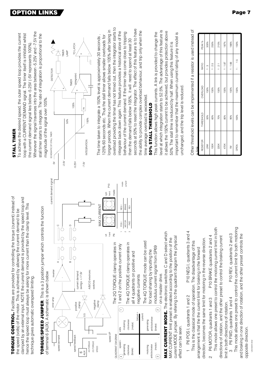roRQUE CONTROL. Facilities are provided for controlling the torque (current) instead of clamped by an external input. NOTE the current demand is provided by the speed loop and nence the speed loop must always be asking for more current than the clamp level. This the speed (volts) of the motor. This is achieved by allowing the current demand to be technique gives automatic overspeed limiting.

TORQUE/SPEED JUMPER. This is a 3 position jumper which controls the function



current MODE jumper. By refering to the quadrant diagram the physical MAX CURRENT limit preset is enabled according to the position of the effect can be seen.

P10 NEG I, quadrants 3 and 4 direction, becomes the same limit for motoring in the reverse direction. This is the classical mode of operation. The disadvantage of this arrangement is that the the current limit for braking in the forward 1 P6 POS I, quadrants 1 and 2

This mode allows one preset to control the motoring current limit in both P10 BRAKE quadrants 2 and 4 directions of rotation, and the other preset to control the braking current P6 MOTOR, quadrants 1 and 3 imit in both directions of rotation.  $\alpha$ 

This mode allows one preset to control the current limit for both motoring P10 REV, quadrants 2 and 3 and braking in one direction of rotation, and the other preset controls the 3 P6 FWD, quadrants 1 and 4 opposite direction.

## **STALL TIMER**

Whenever the signal traverses into the area between -5.25V and -7.5V the o achieve the desired speed, the outer speed loop provides the current oop with a CURRENT DEMAND signal. The timer itself is inhibited whilst stall timer starts to integrate. The rate of integration is proportional to the the current demand signal lies below -5.25V (-5V represents 100%). magnitude of the signal over 105%.

**PTION LINKS** 



overload providing the timer has not timed out, then the integrator starts to seconds at 50% to reset the integrator. The effect of this feature is to have onger periods. When the current demand falls below 105% after being in the ability to provide complex overload behaviour, and trip only when the ntegrate back down again. This feature provides a historical store of the behaviour of the current demand. If the timer has come close to tripping 25% 60 seconds etc. Thus the stall timer allows smaller overloads for The time taken to integrate a 150% level is approximately 30 seconds, then the demand falls below 105%, it will need to spend at least 30 time average overload is exceeded.

> umper node

**DTG** 

# 50% STALL THRESHOLD

evel at which integration starts to 52.5%. The advantage of this feature is it allows the 150% current to be achieved, but provides protection above This function allows high peak currents. A link is provided to change the important to remember that the maximum current rating of any model is 50%. The stall time is reduced by half. When using this feature it is unchanged, and the trip level is reduced. Other threshold levels can be implemented if a resistor is used instead of

| PEAK %<br>RATIO | 300% | 250%  | 210%  | 187%   | 166%   |  |
|-----------------|------|-------|-------|--------|--------|--|
| $\frac{3}{1}$   |      | 1:2.5 | 1:2.1 | 1:1.87 | 1:1.66 |  |
|                 | 150% | 150%  | 150%  | 150%   | 150%   |  |
| THRESHOLD       | 50%  | 60%   | 70%   | 80%    | 90%    |  |
| <b>RESISTOR</b> | ЦWK  | 100K  | 220K  | 470K   | ₹      |  |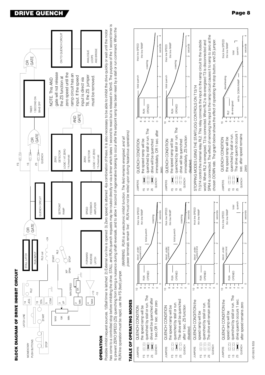



**DRIVE QUENCH** 

OPERATION

as come to a contolled stop before inhibiting the drive. STALL and RUN quench requests may be routed directly or via a timer which takes 1 second to react but is released in 50mS. The purpose of the 1 second timer is o prevent ZERO SPEED (ZS) quenching from being a nuisance during a nutrie during to allow 1 second of regenerative braking to occur after the setpoint ramp has been reset by a stall or run command. When the Possible inhibit request sources. 1)Stall timer is latched 2) External run line is opened 3) Zero speed is attained 4)a combination of these. It is also necessary to be able to inhibit the drive quickly or wait until the m RUN line operation must be rapid, use the FS (fast) jumper.

oower terminals remain 'live'. RUN must not be relied upon during hazardous operations) (WARNING. RUN is an electronic inhibit function. The field remains energised, and all



UG1005761SS3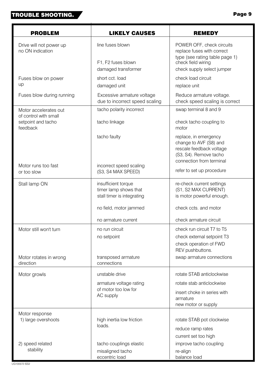### **TROUBLE SHOOTING.**

| <b>PROBLEM</b>                                 | <b>LIKELY CAUSES</b>                                                       | <b>REMEDY</b>                                                                                                                     |  |  |  |  |
|------------------------------------------------|----------------------------------------------------------------------------|-----------------------------------------------------------------------------------------------------------------------------------|--|--|--|--|
| Drive will not power up<br>no ON indication    | line fuses blown                                                           | POWER OFF, check circuits<br>replace fuses with correct<br>type (see rating table page 1)                                         |  |  |  |  |
|                                                | F1, F2 fuses blown<br>damaged transformer                                  | check field wiring<br>check supply select jumper                                                                                  |  |  |  |  |
| Fuses blow on power                            | short cct. load                                                            | check load circuit                                                                                                                |  |  |  |  |
| up                                             | damaged unit                                                               | replace unit                                                                                                                      |  |  |  |  |
| Fuses blow during running                      | Excessive armature voltage<br>due to incorrect speed scaling               | Reduce armature voltage.<br>check speed scaling is correct                                                                        |  |  |  |  |
| Motor accelerates out<br>of control with small | tacho polarity incorrect                                                   | swap terminal 8 and 9                                                                                                             |  |  |  |  |
| setpoint and tacho<br>feedback                 | tacho linkage                                                              | check tacho coupling to<br>motor                                                                                                  |  |  |  |  |
|                                                | tacho faulty                                                               | replace, in emergency<br>change to AVF (S8) and<br>rescale feedback voltage<br>(S3, S4). Remove tacho<br>connection from terminal |  |  |  |  |
| Motor runs too fast<br>or too slow             | incorrect speed scaling<br>(S3, S4 MAX SPEED)                              | refer to set up procedure                                                                                                         |  |  |  |  |
| Stall lamp ON                                  | insufficient torque<br>timer lamp shows that<br>stall timer is integrating | re-check current settings<br>(S1, S2 MAX CURRENT)<br>is motor powerful enough.                                                    |  |  |  |  |
|                                                | no field, motor jammed                                                     | check ccts. and motor                                                                                                             |  |  |  |  |
|                                                | no armature current                                                        | check armature circuit                                                                                                            |  |  |  |  |
| Motor still won't turn                         | no run circuit                                                             | check run circuit T7 to T5                                                                                                        |  |  |  |  |
|                                                | no setpoint                                                                | check external setpoint T3                                                                                                        |  |  |  |  |
|                                                |                                                                            | check operation of FWD<br>REV pushbuttons.                                                                                        |  |  |  |  |
| Motor rotates in wrong                         | transposed armature                                                        | swap armature connections                                                                                                         |  |  |  |  |
| direction                                      | connections                                                                |                                                                                                                                   |  |  |  |  |
| Motor growls                                   | unstable drive                                                             | rotate STAB anticlockwise                                                                                                         |  |  |  |  |
|                                                | armature voltage rating                                                    | rotate stab anticlockwise                                                                                                         |  |  |  |  |
|                                                | of motor too low for<br>AC supply                                          | insert choke in series with                                                                                                       |  |  |  |  |
|                                                |                                                                            | armature<br>new motor or supply                                                                                                   |  |  |  |  |
| Motor response                                 |                                                                            |                                                                                                                                   |  |  |  |  |
| 1) large overshoots                            | high inertia low friction                                                  | rotate STAB pot clockwise                                                                                                         |  |  |  |  |
|                                                | loads.                                                                     | reduce ramp rates                                                                                                                 |  |  |  |  |
|                                                |                                                                            | current set too high                                                                                                              |  |  |  |  |
| 2) speed related                               | tacho couplings elastic                                                    | improve tacho coupling                                                                                                            |  |  |  |  |
| stability                                      | misaligned tacho                                                           | re-align                                                                                                                          |  |  |  |  |

eccentric load

balance load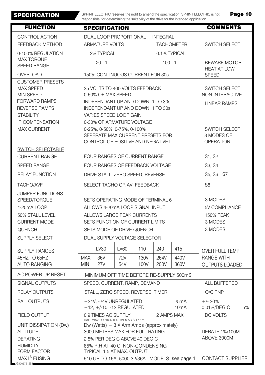**SPECIFICATION** 

SPRINT ELECTRIC reserves the right to amend the specification. SPRINT ELECTRIC is not responsible for determining the suitability of the drive for the intended application.

Page 10

| <b>FUNCTION</b>                                                                                                                     |                                                                                                                                                          |                                                                      |                           |              |                      | responsible for determining the suitability of the drive for the intended application. | <b>COMMENTS</b>                                                |  |  |  |
|-------------------------------------------------------------------------------------------------------------------------------------|----------------------------------------------------------------------------------------------------------------------------------------------------------|----------------------------------------------------------------------|---------------------------|--------------|----------------------|----------------------------------------------------------------------------------------|----------------------------------------------------------------|--|--|--|
|                                                                                                                                     | <b>SPECIFICATION</b>                                                                                                                                     |                                                                      |                           |              |                      |                                                                                        |                                                                |  |  |  |
| <b>CONTROL ACTION</b>                                                                                                               | DUAL LOOP PROPORTIONAL + INTEGRAL<br><b>TACHOMETER</b>                                                                                                   |                                                                      |                           |              |                      |                                                                                        |                                                                |  |  |  |
| FEEDBACK METHOD                                                                                                                     |                                                                                                                                                          | <b>ARMATURE VOLTS</b>                                                |                           |              | <b>SWITCH SELECT</b> |                                                                                        |                                                                |  |  |  |
| 0-100% REGULATION                                                                                                                   | 2% TYPICAL<br>0.1% TYPICAL                                                                                                                               |                                                                      |                           |              |                      |                                                                                        |                                                                |  |  |  |
| <b>MAX TORQUE</b><br><b>SPEED RANGE</b>                                                                                             |                                                                                                                                                          | 20:1                                                                 |                           |              | 100:1                |                                                                                        | <b>BEWARE MOTOR</b><br><b>HEAT AT LOW</b>                      |  |  |  |
| <b>OVERLOAD</b>                                                                                                                     |                                                                                                                                                          | 150% CONTINUOUS CURRENT FOR 30s                                      | <b>SPEED</b>              |              |                      |                                                                                        |                                                                |  |  |  |
| <b>CUSTOMER PRESETS</b><br><b>MAX SPEED</b><br><b>MIN SPEED</b><br><b>FORWARD RAMPS</b><br><b>REVERSE RAMPS</b><br><b>STABILITY</b> | 25 VOLTS TO 400 VOLTS FEEDBACK<br>0-50% OF MAX SPEED<br>INDEPENDANT UP AND DOWN, 1 TO 30s<br>INDEPENDANT UP AND DOWN, 1 TO 30s<br>VARIES SPEED LOOP GAIN |                                                                      |                           |              |                      |                                                                                        | <b>SWITCH SELECT</b><br>NON-INTERACTIVE<br><b>LINEAR RAMPS</b> |  |  |  |
| <b>IR COMPENSATION</b>                                                                                                              |                                                                                                                                                          |                                                                      | 0-30% OF ARMATURE VOLTAGE |              |                      |                                                                                        |                                                                |  |  |  |
| <b>MAX CURRENT</b>                                                                                                                  | 0-25%, 0-50%, 0-75%, 0-100%<br>SEPERATE MAX CURRENT PRESETS FOR<br>CONTROL OF POSITIVE AND NEGATIVE I                                                    |                                                                      |                           |              |                      |                                                                                        | <b>SWITCH SELECT</b><br>3 MODES OF<br><b>OPERATION</b>         |  |  |  |
| SWITCH SELECTABLE<br><b>CURRENT RANGE</b>                                                                                           |                                                                                                                                                          | FOUR RANGES OF CURRENT RANGE                                         |                           | S1, S2       |                      |                                                                                        |                                                                |  |  |  |
| <b>SPEED RANGE</b>                                                                                                                  |                                                                                                                                                          |                                                                      |                           |              |                      |                                                                                        | S3, S4                                                         |  |  |  |
| <b>RELAY FUNCTION</b>                                                                                                               | FOUR RANGES OF FEEDBACK VOLTAGE<br>DRIVE STALL, ZERO SPEED, REVERSE                                                                                      |                                                                      |                           |              |                      |                                                                                        | S5, S6 S7                                                      |  |  |  |
| TACHO/AVF                                                                                                                           | SELECT TACHO OR AV. FEEDBACK                                                                                                                             |                                                                      |                           |              |                      |                                                                                        | S <sub>8</sub>                                                 |  |  |  |
| <b>JUMPER FUNCTIONS</b><br>SPEED/TORQUE<br>4-20mA LOOP                                                                              |                                                                                                                                                          | SETS OPERATING MODE OF TERMINAL 6<br>ALLOWS 4-20mA LOOP SIGNAL INPUT | 3 MODES<br>5V COMPLIANCE  |              |                      |                                                                                        |                                                                |  |  |  |
| 50% STALL LEVEL                                                                                                                     |                                                                                                                                                          |                                                                      | <b>150% PEAK</b>          |              |                      |                                                                                        |                                                                |  |  |  |
| <b>CURRENT MODE</b>                                                                                                                 | ALLOWS LARGE PEAK CURRENTS<br>SETS FUNCTION OF CURRENT LIMITS                                                                                            |                                                                      |                           |              |                      |                                                                                        | 3 MODES                                                        |  |  |  |
| QUENCH                                                                                                                              |                                                                                                                                                          |                                                                      | SETS MODE OF DRIVE QUENCH |              |                      |                                                                                        | 3 MODES                                                        |  |  |  |
| SUPPLY SELECT                                                                                                                       |                                                                                                                                                          | DUAL SUPPLY VOLTAGE SELECTOR                                         |                           |              |                      |                                                                                        |                                                                |  |  |  |
| <b>SUPPLY RANGES</b>                                                                                                                |                                                                                                                                                          | LV30                                                                 | <b>LV60</b>               | 110          | 240                  | 415                                                                                    | <b>OVER FULL TEMP</b>                                          |  |  |  |
| 45HZ TO 65HZ<br><b>AUTO RANGING</b>                                                                                                 | <b>MAX</b><br><b>MIN</b>                                                                                                                                 | 36V<br>27V                                                           | 72V<br>54V                | 130V<br>100V | 264V<br>200V         | 440V<br>360V                                                                           | <b>RANGE WITH</b><br><b>OUTPUTS LOADED</b>                     |  |  |  |
| AC POWER UP RESET                                                                                                                   | MINIMUM OFF TIME BEFORE RE-SUPPLY 500mS                                                                                                                  |                                                                      |                           |              |                      |                                                                                        |                                                                |  |  |  |
| <b>SIGNAL OUTPUTS</b>                                                                                                               |                                                                                                                                                          | SPEED, CURRENT, RAMP, DEMAND                                         | ALL BUFFERED              |              |                      |                                                                                        |                                                                |  |  |  |
| <b>RELAY OUTPUTS</b>                                                                                                                |                                                                                                                                                          | STALL, ZERO SPEED, REVERSE, TIMER                                    | O/C PNP                   |              |                      |                                                                                        |                                                                |  |  |  |
| RAIL OUTPUTS                                                                                                                        | +24V, -24V UNREGULATED<br>25mA<br>$+12, +/-10, -12$ REGULATED<br>10 <sub>m</sub> A                                                                       |                                                                      |                           |              |                      |                                                                                        | $+/- 20%$<br>0.01%/DEG C<br>5%                                 |  |  |  |
| <b>FIELD OUTPUT</b>                                                                                                                 | 2 AMPS MAX<br>0.9 TIMES AC SUPPLY                                                                                                                        |                                                                      |                           |              |                      |                                                                                        | DC VOLTS                                                       |  |  |  |
| UNIT DISSIPATION (Dw)<br><b>ALTITUDE</b>                                                                                            | HALF WAVE OPTION 0.4 TIMES AC SUPPLY<br>Dw (Watts) = $3 X A$ rm Amps (approximately)<br>3000 METRES MAX FOR FULL RATING                                  |                                                                      |                           |              |                      |                                                                                        | DERATE 1%/100M                                                 |  |  |  |
| <b>DERATING</b>                                                                                                                     | ABOVE 3000M<br>2.5% PER DEG C ABOVE 40 DEG C                                                                                                             |                                                                      |                           |              |                      |                                                                                        |                                                                |  |  |  |
| <b>HUMIDITY</b><br>FORM FACTOR                                                                                                      | 85% R.H AT 40 C, NON-CONDENSING<br>TYPICAL 1.5 AT MAX. OUTPUT                                                                                            |                                                                      |                           |              |                      |                                                                                        |                                                                |  |  |  |
| MAX I <sup>2</sup> t FUSING<br>UG100572 ISS3                                                                                        |                                                                                                                                                          |                                                                      |                           |              |                      | 510 UP TO 16A, 5000 32/36A MODELS see page 1                                           | <b>CONTACT SUPPLIER</b>                                        |  |  |  |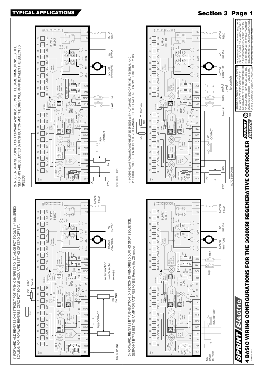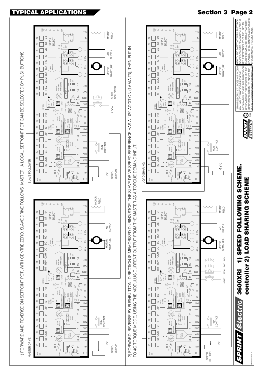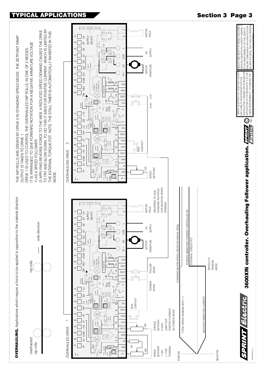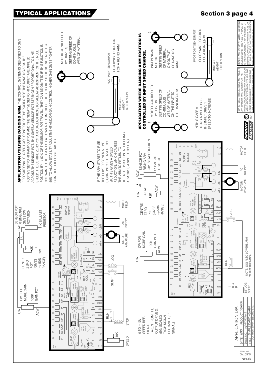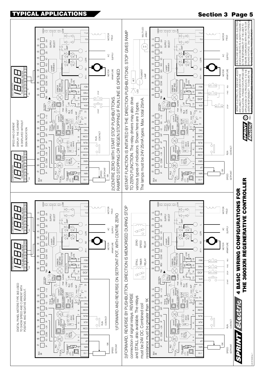

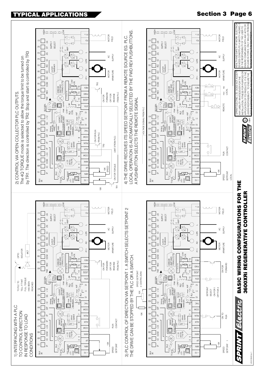



### **Section 3 Page 6**

JG101849 Iss 1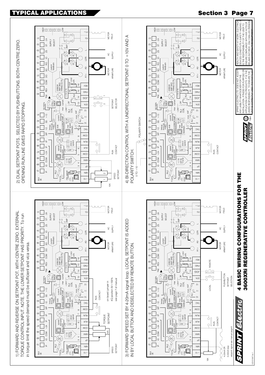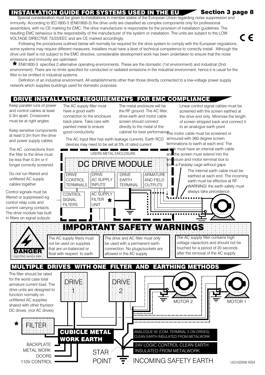### INSTALLATION GUIDE FOR SYSTEMS USED IN THE EU

Special consideration must be given to installations in member states of the European Union regarding noise suppression and immunity. According to IEC1800-3 (EN61800-3) the drive units are classified as complex components only for professional assemblers, with no CE marking for EMC. The drive manufacturer is responsible for the provision of installation quidelines. The resulting EMC behaviour is the responsibility of the manufacturer of the system or installation. The units are subject to the LOW VOLTAGE DIRECTIVE 73/23/EEC and are CE marked accordingly.

Following the procedures outlined below will normally be required for the drive system to comply with the European requlations. some systems may require different measures. Installers must have a level of technical competence to correctly install. Although the drive unit itself is not subject to the EMC directive, considerable development work has been undertaken to ensure that the noise emissions and immunity are optimised.

\* EN61800-3 specifies 2 alternative operating environments. These are the domestic (1st environment) and industrial (2nd environment). There are no limits specified for conducted or radiated emissions in the industrial environment, hence it is usual for the filter to be omitted in industrial systems.

Definition of an industrial environment. All establishments other than those directly connected to a low-voltage power supply network which supplies buildings used for domestic purposes.

### **DRIVE INSTALLATION REQUIREMENTS FOR EMC COMPLIANCE**

USERS METAL ENCLOSURE

Keep parallel runs of power and control cables at least 0.3m apart. Crossovers must be at right angles

Keep sensitive components at least 0.3m from the drive and power supply cables

The AC connections from the filter to the drive must be less than 0.3m or if longer correctly screened

Do not run filtered and unfiltered AC supply cables together

Control signals must be filtered or suppressed eg control relay coils and current carrying contacts. The drive module has built in filters on signal outputs

東

110V CONTROL

The AC supply filter must have a good earth connection to the enclosure back plane. Take care with painted metal to ensure good conductivity.

The metal enclosure will be the RF ground. The AC filter, drive earth and motor cable screen should connect directly to the metal of the cabinet for best performancone motor cable must be screened or

Linear control signal cables must be screened with the screen earthed at the drive end only. Minimise the length of screen stripped back and connect it to an analogue earth point

the screen must extend into the

**Section 3 page 8** 

C E

armoured with 360 degree screen The AC input filter has earth leakage currents. Earth RCD terminations to earth at each end. The devices may need to be set at 5% of rated current le must have an internal earth cable

 $\overline{a}$ 

osure and motor terminal box to :end DC DRIVE MODULE a Faraday cage without gaps in The internal earth cable must be **DRIVE DRIVE** ARMATURE **DRIVE** earthed at each end. The incoming **AC SUPPLY** CONTROL **EARTH AND FIELD** earth must be effective at RF. **INPUTS OUTPUTS TERMINALS TFRMINAI** WARNING! the earth safety must always take precedence. CONTROL **AC SUPPLY** FILTER \* SIGNAL **FILTERS UNIT IMPORTANT SAFETY WARNINGS** The AC supply filters must The drive and AC filter must only The AC supply filter contains high voltage capacitors and should not be not be used on supplies be used with a permanent earth touched for a period of 20 seconds that are un-balanced or connection. No plugs/sockets are after the removal of the AC supply float with respect to earth allowed in the AC supply **MULTIPLE DRIVES WITH ONE FILTER AND** EARTHING METHODS The filter should be rated for the worst case total DRIVE DRIVE armature current load. The drive units are designed to  $\mathcal{D}% _{T}=\mathcal{C}_{T}\!\left( T_{T_{1}}\right) ^{\ast}\!\left( T_{T_{2}}\right) ^{\ast}\!\left( T_{T_{1}}\right) ^{\ast}\!\left( T_{T_{2}}\right) ^{\ast}\!\left( T_{T_{1}}\right) ^{\ast}\!\left( T_{T_{1}}\right) ^{\ast}\!\left( T_{T_{1}}\right) ^{\ast}\!\left( T_{T_{2}}\right) ^{\ast}\!\left( T_{T_{1}}\right) ^{\ast}\!\left( T_{T_{1}}\right) ^{\ast}\!\left( T_{T_{1}}\right) ^{\ast}\!\left( T_{T_{1}}\right) ^{\ast}\!\left( T_{T_{1}}\$ function normally on unfiltered AC supplies MOTOR<sub>2</sub> MOTOR<sub>1</sub> shared with other thyristor DC drives. (not AC drives) . . . . . . . . . . . . . EILTER **CUBICLE METAL** ANALOGUE 0V (COM. TERMINAL 5 ON DRIVES) CLEAN EARTH INSULATED FROM METALWORK **WORK EARTH BACKPLATE 24V LOGIC CONTROL CLEAN EARTH METAL WORK INSULATED FROM METALWORK STAR DOORS INCOMING SAFETY EARTH POINT**